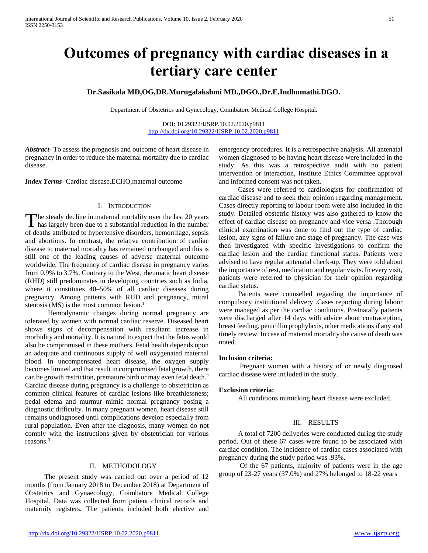# **Outcomes of pregnancy with cardiac diseases in a tertiary care center**

## **Dr.Sasikala MD,OG,DR.Murugalakshmi MD.,DGO.,Dr.E.Indhumathi.DGO.**

Department of Obstetrics and Gynecology, Coimbatore Medical College Hospital.

DOI: 10.29322/IJSRP.10.02.2020.p9811 <http://dx.doi.org/10.29322/IJSRP.10.02.2020.p9811>

*Abstract***-** To assess the prognosis and outcome of heart disease in pregnancy in order to reduce the maternal mortality due to cardiac disease.

*Index Terms*- Cardiac disease,ECHO,maternal outcome

## I. INTRODUCTION

The steady decline in maternal mortality over the last 20 years The steady decline in maternal mortality over the last 20 years<br>has largely been due to a substantial reduction in the number of deaths attributed to hypertensive disorders, hemorrhage, sepsis and abortions. In contrast, the relative contribution of cardiac disease to maternal mortality has remained unchanged and this is still one of the leading causes of adverse maternal outcome worldwide. The frequency of cardiac disease in pregnancy varies from 0.9% to 3.7%. Contrary to the West, rheumatic heart disease (RHD) still predominates in developing countries such as India, where it constitutes 40–50% of all cardiac diseases during pregnancy. Among patients with RHD and pregnancy, mitral stenosis  $(MS)$  is the most common lesion.<sup>1</sup>

 Hemodynamic changes during normal pregnancy are tolerated by women with normal cardiac reserve. Diseased heart shows signs of decompensation with resultant increase in morbidity and mortality. It is natural to expect that the fetus would also be compromised in these mothers. Fetal health depends upon an adequate and continuous supply of well oxygenated maternal blood. In uncompensated heart disease, the oxygen supply becomes limited and that result in compromised fetal growth, there can be growth restriction, premature birth or may even fetal death.<sup>2</sup> Cardiac disease during pregnancy is a challenge to obstetrician as common clinical features of cardiac lesions like breathlessness; pedal edema and murmur mimic normal pregnancy posing a diagnostic difficulty. In many pregnant women, heart disease still remains undiagnosed until complications develop especially from rural population. Even after the diagnosis, many women do not comply with the instructions given by obstetrician for various reasons.<sup>3</sup>

## II. METHODOLOGY

 The present study was carried out over a period of 12 months (from January 2018 to December 2018) at Department of Obstetrics and Gynaecology, Coimbatore Medical College Hospital. Data was collected from patient clinical records and maternity registers. The patients included both elective and emergency procedures. It is a retrospective analysis. All antenatal women diagnosed to be having heart disease were included in the study. As this was a retrospective audit with no patient intervention or interaction, Institute Ethics Committee approval and informed consent was not taken.

 Cases were referred to cardiologists for confirmation of cardiac disease and to seek their opinion regarding management. Cases directly reporting to labour room were also included in the study. Detailed obstetric history was also gathered to know the effect of cardiac disease on pregnancy and vice versa .Thorough clinical examination was done to find out the type of cardiac lesion, any signs of failure and stage of pregnancy. The case was then investigated with specific investigations to confirm the cardiac lesion and the cardiac functional status. Patients were advised to have regular antenatal check-up. They were told about the importance of rest, medication and regular visits. In every visit, patients were referred to physician for their opinion regarding cardiac status.

 Patients were counselled regarding the importance of compulsory institutional delivery .Cases reporting during labour were managed as per the cardiac conditions. Postnatally patients were discharged after 14 days with advice about contraception, breast feeding, penicillin prophylaxis, other medications if any and timely review. In case of maternal mortality the cause of death was noted.

## **Inclusion criteria:**

 Pregnant women with a history of or newly diagnosed cardiac disease were included in the study.

### **Exclusion criteria:**

All conditions mimicking heart disease were excluded.

## III. RESULTS

 A total of 7200 deliveries were conducted during the study period. Out of these 67 cases were found to be associated with cardiac condition. The incidence of cardiac cases associated with pregnancy during the study period was .93%.

 Of the 67 patients, majority of patients were in the age group of 23-27 years (37.0%) and 27% belonged to 18-22 years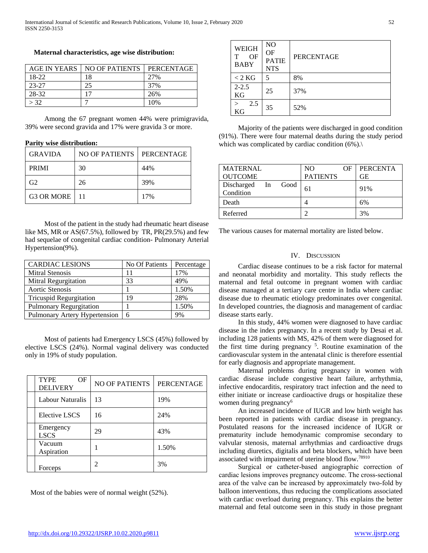## **Maternal characteristics, age wise distribution:**

| AGE IN YEARS | NO OF PATIENTS | PERCENTAGE |
|--------------|----------------|------------|
| 18-22        | 18             | 27%        |
| 23-27        | 25             | 37%        |
| 28-32        |                | 26%        |
| > 32         |                | 10%        |

 Among the 67 pregnant women 44% were primigravida, 39% were second gravida and 17% were gravida 3 or more.

## **Parity wise distribution:**

| <b>GRAVIDA</b>  | NO OF PATIENTS | <b>PERCENTAGE</b> |
|-----------------|----------------|-------------------|
| <b>PRIMI</b>    | 30             | 44%               |
| G <sub>2</sub>  | 26             | 39%               |
| G3 OR MORE   11 |                | 17%               |

 Most of the patient in the study had rheumatic heart disease like MS, MR or AS(67.5%), followed by TR, PR(29.5%) and few had sequelae of congenital cardiac condition- Pulmonary Arterial Hypertension(9%).

| <b>CARDIAC LESIONS</b>         | No Of Patients | Percentage |
|--------------------------------|----------------|------------|
| <b>Mitral Stenosis</b>         | 11             | 17%        |
| Mitral Regurgitation           | 33             | 49%        |
| Aortic Stenosis                |                | 1.50%      |
| <b>Tricuspid Regurgitation</b> | 19             | 28%        |
| Pulmonary Regurgitation        |                | 1.50%      |
| Pulmonary Artery Hypertension  | 6              | 9%         |

 Most of patients had Emergency LSCS (45%) followed by elective LSCS (24%). Normal vaginal delivery was conducted only in 19% of study population.

| <b>TYPE</b><br>OF<br><b>DELIVERY</b> | <b>NO OF PATIENTS</b> | <b>PERCENTAGE</b> |
|--------------------------------------|-----------------------|-------------------|
| Labour Naturalis                     | 13                    | 19%               |
| Elective LSCS                        | 16                    | 24%               |
| Emergency<br><b>LSCS</b>             | 29                    | 43%               |
| Vacuum<br>Aspiration                 |                       | 1.50%             |
| Forceps                              |                       | 3%                |

Most of the babies were of normal weight (52%).

| <b>WEIGH</b><br>OF<br><b>BABY</b> | NO<br>OF<br><b>PATIE</b><br><b>NTS</b> | <b>PERCENTAGE</b> |
|-----------------------------------|----------------------------------------|-------------------|
| $< 2$ KG                          | 5                                      | 8%                |
| $2 - 2.5$<br><b>KG</b>            | 25                                     | 37%               |
| 2.5<br>KG                         | 35                                     | 52%               |

 Majority of the patients were discharged in good condition (91%). There were four maternal deaths during the study period which was complicated by cardiac condition  $(6\%)$ .

| <b>MATERNAL</b>                       | NO.<br>OF       | <b>PERCENTA</b> |
|---------------------------------------|-----------------|-----------------|
| <b>OUTCOME</b>                        | <b>PATIENTS</b> | GЕ              |
| Discharged<br>Good<br>In<br>Condition | 61              | 91%             |
| Death                                 |                 | 6%              |
| Referred                              |                 | 3%              |

The various causes for maternal mortality are listed below.

## IV. DISCUSSION

 Cardiac disease continues to be a risk factor for maternal and neonatal morbidity and mortality. This study reflects the maternal and fetal outcome in pregnant women with cardiac disease managed at a tertiary care centre in India where cardiac disease due to rheumatic etiology predominates over congenital. In developed countries, the diagnosis and management of cardiac disease starts early.

 In this study, 44% women were diagnosed to have cardiac disease in the index pregnancy. In a recent study by Desai et al. including 128 patients with MS, 42% of them were diagnosed for the first time during pregnancy<sup>5</sup>. Routine examination of the cardiovascular system in the antenatal clinic is therefore essential for early diagnosis and appropriate management.

 Maternal problems during pregnancy in women with cardiac disease include congestive heart failure, arrhythmia, infective endocarditis, respiratory tract infection and the need to either initiate or increase cardioactive drugs or hospitalize these women during pregnancy<sup>6</sup>

 An increased incidence of IUGR and low birth weight has been reported in patients with cardiac disease in pregnancy. Postulated reasons for the increased incidence of IUGR or prematurity include hemodynamic compromise secondary to valvular stenosis, maternal arrhythmias and cardioactive drugs including diuretics, digitalis and beta blockers, which have been associated with impairment of uterine blood flow.<sup>78910</sup>

 Surgical or catheter‐based angiographic correction of cardiac lesions improves pregnancy outcome. The cross‐sectional area of the valve can be increased by approximately two‐fold by balloon interventions, thus reducing the complications associated with cardiac overload during pregnancy. This explains the better maternal and fetal outcome seen in this study in those pregnant